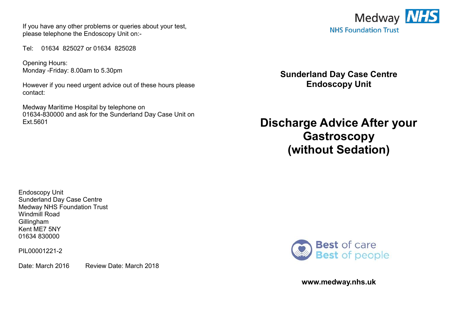If you have any other problems or queries about your test, please telephone the Endoscopy Unit on:-

Tel: 01634 825027 or 01634 825028

Opening Hours: Monday -Friday: 8.00am to 5.30pm

However if you need urgent advice out of these hours please contact:

Medway Maritime Hospital by telephone on 01634-830000 and ask for the Sunderland Day Case Unit on Ext.5601



**Sunderland Day Case Centre Endoscopy Unit** 

**Discharge Advice After your Gastroscopy (without Sedation)**

Endoscopy Unit Sunderland Day Case Centre Medway NHS Foundation Trust Windmill Road Gillingham Kent ME7 5NY 01634 830000

PIL00001221-2

Date: March 2016 Review Date: March 2018



**www.medway.nhs.uk**